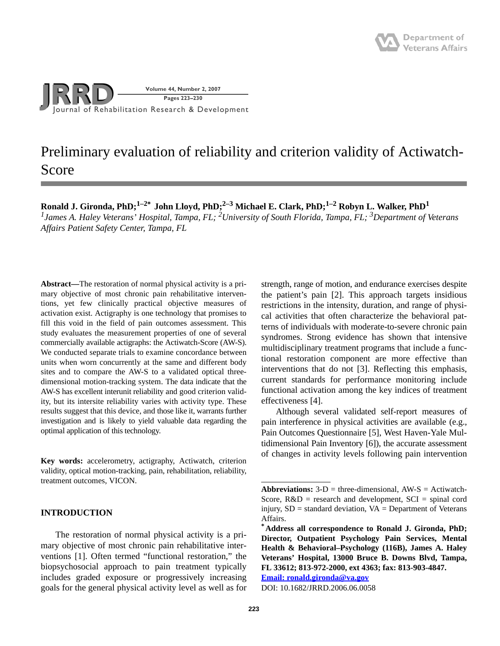

# Preliminary evaluation of reliability and criterion validity of Actiwatch-Score

Ronald J. Gironda, PhD;<sup>1–2</sup><sup>\*</sup> John Lloyd, PhD;<sup>2–3</sup> Michael E. Clark, PhD;<sup>1–2</sup> Robyn L. Walker, PhD<sup>1</sup> *1James A. Haley Veterans' Hospital, Tampa, FL; 2 University of South Florida, Tampa, FL; 3Department of Veterans Affairs Patient Safety Center, Tampa, FL*

**Abstract—**The restoration of normal physical activity is a primary objective of most chronic pain rehabilitative interventions, yet few clinically practical objective measures of activation exist. Actigraphy is one technology that promises to fill this void in the field of pain outcomes assessment. This study evaluates the measurement properties of one of several commercially available actigraphs: the Actiwatch-Score (AW-S). We conducted separate trials to examine concordance between units when worn concurrently at the same and different body sites and to compare the AW-S to a validated optical threedimensional motion-tracking system. The data indicate that the AW-S has excellent interunit reliability and good criterion validity, but its intersite reliability varies with activity type. These results suggest that this device, and those like it, warrants further investigation and is likely to yield valuable data regarding the optimal application of this technology.

**Key words:** accelerometry, actigraphy, Actiwatch, criterion validity, optical motion-tracking, pain, rehabilitation, reliability, treatment outcomes, VICON.

# **INTRODUCTION**

The restoration of normal physical activity is a primary objective of most chronic pain rehabilitative interventions [1]. Often termed "functional restoration," the biopsychosocial approach to pain treatment typically includes graded exposure or progressively increasing goals for the general physical activity level as well as for

strength, range of motion, and endurance exercises despite the patient's pain [2]. This approach targets insidious restrictions in the intensity, duration, and range of physical activities that often characterize the behavioral patterns of individuals with moderate-to-severe chronic pain syndromes. Strong evidence has shown that intensive multidisciplinary treatment programs that include a functional restoration component are more effective than interventions that do not [3]. Reflecting this emphasis, current standards for performance monitoring include functional activation among the key indices of treatment effectiveness [4].

Although several validated self-report measures of pain interference in physical activities are available (e.g., Pain Outcomes Questionnaire [5], West Haven-Yale Multidimensional Pain Inventory [6]), the accurate assessment of changes in activity levels following pain intervention

**[Email: ronald.gironda@va.gov](mailto:ronald.gironda@va.gov)**

DOI: 10.1682/JRRD.2006.06.0058

**Abbreviations:**  $3-D$  = three-dimensional,  $AW-S$  = Actiwatch-Score,  $R&D$  = research and development,  $SCI$  = spinal cord injury,  $SD =$  standard deviation,  $VA =$  Department of Veterans Affairs.

**<sup>\*</sup>Address all correspondence to Ronald J. Gironda, PhD; Director, Outpatient Psychology Pain Services, Mental Health & Behavioral–Psychology (116B), James A. Haley Veterans' Hospital, 13000 Bruce B. Downs Blvd, Tampa, FL 33612; 813-972-2000, ext 4363; fax: 813-903-4847.**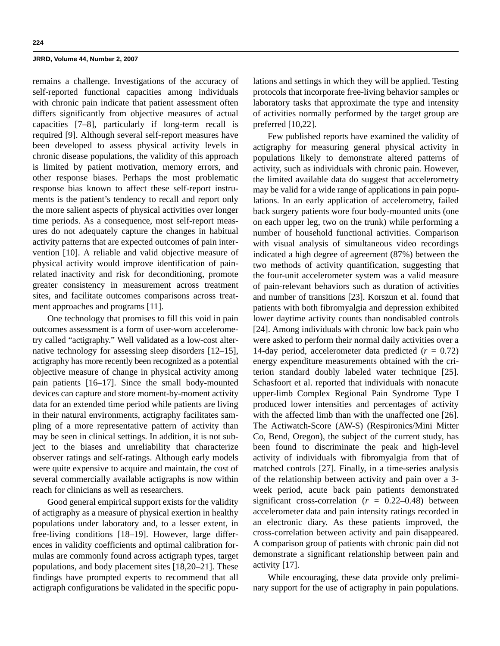remains a challenge. Investigations of the accuracy of self-reported functional capacities among individuals with chronic pain indicate that patient assessment often differs significantly from objective measures of actual capacities [7–8], particularly if long-term recall is required [9]. Although several self-report measures have been developed to assess physical activity levels in chronic disease populations, the validity of this approach is limited by patient motivation, memory errors, and other response biases. Perhaps the most problematic response bias known to affect these self-report instruments is the patient's tendency to recall and report only the more salient aspects of physical activities over longer time periods. As a consequence, most self-report measures do not adequately capture the changes in habitual activity patterns that are expected outcomes of pain intervention [10]. A reliable and valid objective measure of physical activity would improve identification of painrelated inactivity and risk for deconditioning, promote greater consistency in measurement across treatment sites, and facilitate outcomes comparisons across treatment approaches and programs [11].

One technology that promises to fill this void in pain outcomes assessment is a form of user-worn accelerometry called "actigraphy." Well validated as a low-cost alternative technology for assessing sleep disorders [12–15], actigraphy has more recently been recognized as a potential objective measure of change in physical activity among pain patients [16–17]. Since the small body-mounted devices can capture and store moment-by-moment activity data for an extended time period while patients are living in their natural environments, actigraphy facilitates sampling of a more representative pattern of activity than may be seen in clinical settings. In addition, it is not subject to the biases and unreliability that characterize observer ratings and self-ratings. Although early models were quite expensive to acquire and maintain, the cost of several commercially available actigraphs is now within reach for clinicians as well as researchers.

Good general empirical support exists for the validity of actigraphy as a measure of physical exertion in healthy populations under laboratory and, to a lesser extent, in free-living conditions [18–19]. However, large differences in validity coefficients and optimal calibration formulas are commonly found across actigraph types, target populations, and body placement sites [18,20–21]. These findings have prompted experts to recommend that all actigraph configurations be validated in the specific populations and settings in which they will be applied. Testing protocols that incorporate free-living behavior samples or laboratory tasks that approximate the type and intensity of activities normally performed by the target group are preferred [10,22].

Few published reports have examined the validity of actigraphy for measuring general physical activity in populations likely to demonstrate altered patterns of activity, such as individuals with chronic pain. However, the limited available data do suggest that accelerometry may be valid for a wide range of applications in pain populations. In an early application of accelerometry, failed back surgery patients wore four body-mounted units (one on each upper leg, two on the trunk) while performing a number of household functional activities. Comparison with visual analysis of simultaneous video recordings indicated a high degree of agreement (87%) between the two methods of activity quantification, suggesting that the four-unit accelerometer system was a valid measure of pain-relevant behaviors such as duration of activities and number of transitions [23]. Korszun et al. found that patients with both fibromyalgia and depression exhibited lower daytime activity counts than nondisabled controls [24]. Among individuals with chronic low back pain who were asked to perform their normal daily activities over a 14-day period, accelerometer data predicted  $(r = 0.72)$ energy expenditure measurements obtained with the criterion standard doubly labeled water technique [25]. Schasfoort et al. reported that individuals with nonacute upper-limb Complex Regional Pain Syndrome Type I produced lower intensities and percentages of activity with the affected limb than with the unaffected one [26]. The Actiwatch-Score (AW-S) (Respironics/Mini Mitter Co, Bend, Oregon), the subject of the current study, has been found to discriminate the peak and high-level activity of individuals with fibromyalgia from that of matched controls [27]. Finally, in a time-series analysis of the relationship between activity and pain over a 3 week period, acute back pain patients demonstrated significant cross-correlation  $(r = 0.22{\text -}0.48)$  between accelerometer data and pain intensity ratings recorded in an electronic diary. As these patients improved, the cross-correlation between activity and pain disappeared. A comparison group of patients with chronic pain did not demonstrate a significant relationship between pain and activity [17].

While encouraging, these data provide only preliminary support for the use of actigraphy in pain populations.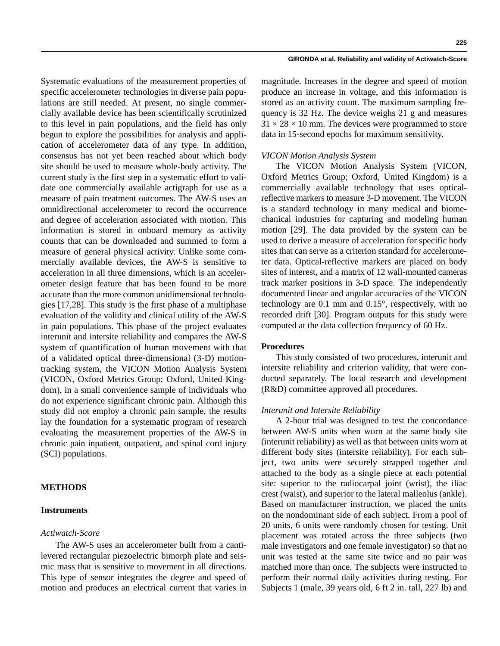Systematic evaluations of the measurement properties of specific accelerometer technologies in diverse pain populations are still needed. At present, no single commercially available device has been scientifically scrutinized to this level in pain populations, and the field has only begun to explore the possibilities for analysis and application of accelerometer data of any type. In addition, consensus has not yet been reached about which body site should be used to measure whole-body activity. The current study is the first step in a systematic effort to validate one commercially available actigraph for use as a measure of pain treatment outcomes. The AW-S uses an omnidirectional accelerometer to record the occurrence and degree of acceleration associated with motion. This information is stored in onboard memory as activity counts that can be downloaded and summed to form a measure of general physical activity. Unlike some commercially available devices, the AW-S is sensitive to acceleration in all three dimensions, which is an accelerometer design feature that has been found to be more accurate than the more common unidimensional technologies [17,28]. This study is the first phase of a multiphase evaluation of the validity and clinical utility of the AW-S in pain populations. This phase of the project evaluates interunit and intersite reliability and compares the AW-S system of quantification of human movement with that of a validated optical three-dimensional (3-D) motiontracking system, the VICON Motion Analysis System (VICON, Oxford Metrics Group; Oxford, United Kingdom), in a small convenience sample of individuals who do not experience significant chronic pain. Although this study did not employ a chronic pain sample, the results lay the foundation for a systematic program of research evaluating the measurement properties of the AW-S in chronic pain inpatient, outpatient, and spinal cord injury (SCI) populations.

## **METHODS**

# **Instruments**

# *Actiwatch-Score*

The AW-S uses an accelerometer built from a cantilevered rectangular piezoelectric bimorph plate and seismic mass that is sensitive to movement in all directions. This type of sensor integrates the degree and speed of motion and produces an electrical current that varies in

#### **GIRONDA et al. Reliability and validity of Actiwatch-Score**

**225**

magnitude. Increases in the degree and speed of motion produce an increase in voltage, and this information is stored as an activity count. The maximum sampling frequency is 32 Hz. The device weighs 21 g and measures

 $31 \times 28 \times 10$  mm. The devices were programmed to store data in 15-second epochs for maximum sensitivity.

# *VICON Motion Analysis System*

The VICON Motion Analysis System (VICON, Oxford Metrics Group; Oxford, United Kingdom) is a commercially available technology that uses opticalreflective markers to measure 3-D movement. The VICON is a standard technology in many medical and biomechanical industries for capturing and modeling human motion [29]. The data provided by the system can be used to derive a measure of acceleration for specific body sites that can serve as a criterion standard for accelerometer data. Optical-reflective markers are placed on body sites of interest, and a matrix of 12 wall-mounted cameras track marker positions in 3-D space. The independently documented linear and angular accuracies of the VICON technology are 0.1 mm and 0.15°, respectively, with no recorded drift [30]. Program outputs for this study were computed at the data collection frequency of 60 Hz.

#### **Procedures**

This study consisted of two procedures, interunit and intersite reliability and criterion validity, that were conducted separately. The local research and development (R&D) committee approved all procedures.

### *Interunit and Intersite Reliability*

A 2-hour trial was designed to test the concordance between AW-S units when worn at the same body site (interunit reliability) as well as that between units worn at different body sites (intersite reliability). For each subject, two units were securely strapped together and attached to the body as a single piece at each potential site: superior to the radiocarpal joint (wrist), the iliac crest (waist), and superior to the lateral malleolus (ankle). Based on manufacturer instruction, we placed the units on the nondominant side of each subject. From a pool of 20 units, 6 units were randomly chosen for testing. Unit placement was rotated across the three subjects (two male investigators and one female investigator) so that no unit was tested at the same site twice and no pair was matched more than once. The subjects were instructed to perform their normal daily activities during testing. For Subjects 1 (male, 39 years old, 6 ft 2 in. tall, 227 lb) and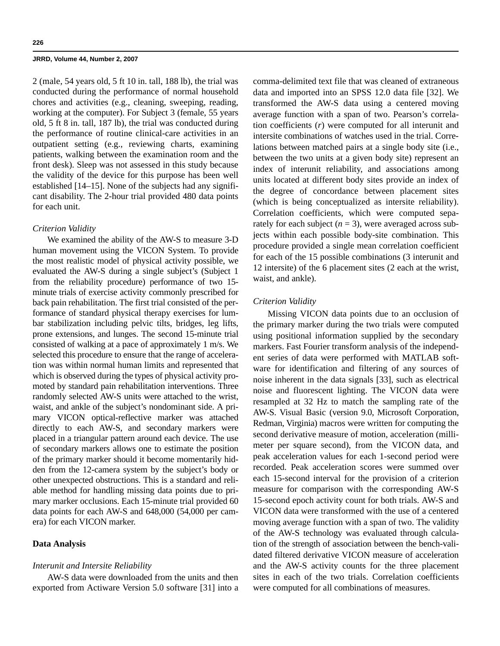2 (male, 54 years old, 5 ft 10 in. tall, 188 lb), the trial was conducted during the performance of normal household chores and activities (e.g., cleaning, sweeping, reading, working at the computer). For Subject 3 (female, 55 years old, 5 ft 8 in. tall, 187 lb), the trial was conducted during the performance of routine clinical-care activities in an outpatient setting (e.g., reviewing charts, examining patients, walking between the examination room and the front desk). Sleep was not assessed in this study because the validity of the device for this purpose has been well established [14–15]. None of the subjects had any significant disability. The 2-hour trial provided 480 data points for each unit.

## *Criterion Validity*

We examined the ability of the AW-S to measure 3-D human movement using the VICON System. To provide the most realistic model of physical activity possible, we evaluated the AW-S during a single subject's (Subject 1 from the reliability procedure) performance of two 15 minute trials of exercise activity commonly prescribed for back pain rehabilitation. The first trial consisted of the performance of standard physical therapy exercises for lumbar stabilization including pelvic tilts, bridges, leg lifts, prone extensions, and lunges. The second 15-minute trial consisted of walking at a pace of approximately 1 m/s. We selected this procedure to ensure that the range of acceleration was within normal human limits and represented that which is observed during the types of physical activity promoted by standard pain rehabilitation interventions. Three randomly selected AW-S units were attached to the wrist, waist, and ankle of the subject's nondominant side. A primary VICON optical-reflective marker was attached directly to each AW-S, and secondary markers were placed in a triangular pattern around each device. The use of secondary markers allows one to estimate the position of the primary marker should it become momentarily hidden from the 12-camera system by the subject's body or other unexpected obstructions. This is a standard and reliable method for handling missing data points due to primary marker occlusions. Each 15-minute trial provided 60 data points for each AW-S and 648,000 (54,000 per camera) for each VICON marker.

## **Data Analysis**

## *Interunit and Intersite Reliability*

AW-S data were downloaded from the units and then exported from Actiware Version 5.0 software [31] into a comma-delimited text file that was cleaned of extraneous data and imported into an SPSS 12.0 data file [32]. We transformed the AW-S data using a centered moving average function with a span of two. Pearson's correlation coefficients (*r*) were computed for all interunit and intersite combinations of watches used in the trial. Correlations between matched pairs at a single body site (i.e., between the two units at a given body site) represent an index of interunit reliability, and associations among units located at different body sites provide an index of the degree of concordance between placement sites (which is being conceptualized as intersite reliability). Correlation coefficients, which were computed separately for each subject  $(n = 3)$ , were averaged across subjects within each possible body-site combination. This procedure provided a single mean correlation coefficient for each of the 15 possible combinations (3 interunit and 12 intersite) of the 6 placement sites (2 each at the wrist, waist, and ankle).

## *Criterion Validity*

Missing VICON data points due to an occlusion of the primary marker during the two trials were computed using positional information supplied by the secondary markers. Fast Fourier transform analysis of the independent series of data were performed with MATLAB software for identification and filtering of any sources of noise inherent in the data signals [33], such as electrical noise and fluorescent lighting. The VICON data were resampled at 32 Hz to match the sampling rate of the AW-S. Visual Basic (version 9.0, Microsoft Corporation, Redman, Virginia) macros were written for computing the second derivative measure of motion, acceleration (millimeter per square second), from the VICON data, and peak acceleration values for each 1-second period were recorded. Peak acceleration scores were summed over each 15-second interval for the provision of a criterion measure for comparison with the corresponding AW-S 15-second epoch activity count for both trials. AW-S and VICON data were transformed with the use of a centered moving average function with a span of two. The validity of the AW-S technology was evaluated through calculation of the strength of association between the bench-validated filtered derivative VICON measure of acceleration and the AW-S activity counts for the three placement sites in each of the two trials. Correlation coefficients were computed for all combinations of measures.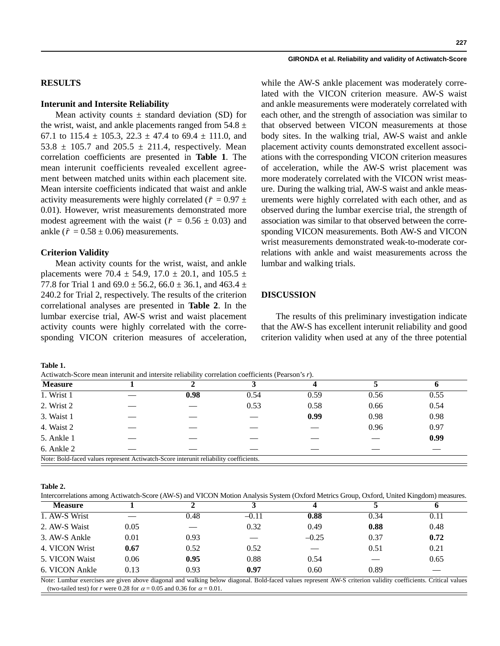# **RESULTS**

## **Interunit and Intersite Reliability**

Mean activity counts  $\pm$  standard deviation (SD) for the wrist, waist, and ankle placements ranged from  $54.8 \pm$ 67.1 to 115.4  $\pm$  105.3, 22.3  $\pm$  47.4 to 69.4  $\pm$  111.0, and 53.8  $\pm$  105.7 and 205.5  $\pm$  211.4, respectively. Mean correlation coefficients are presented in **Table 1**. The mean interunit coefficients revealed excellent agreement between matched units within each placement site. Mean intersite coefficients indicated that waist and ankle activity measurements were highly correlated ( $\bar{r} = 0.97 \pm 1$ 0.01). However, wrist measurements demonstrated more modest agreement with the waist ( $\bar{r} = 0.56 \pm 0.03$ ) and ankle ( $\bar{r} = 0.58 \pm 0.06$ ) measurements.

## **Criterion Validity**

Mean activity counts for the wrist, waist, and ankle placements were 70.4  $\pm$  54.9, 17.0  $\pm$  20.1, and 105.5  $\pm$ 77.8 for Trial 1 and  $69.0 \pm 56.2$ ,  $66.0 \pm 36.1$ , and  $463.4 \pm 1$ 240.2 for Trial 2, respectively. The results of the criterion correlational analyses are presented in **Table 2**. In the lumbar exercise trial, AW-S wrist and waist placement activity counts were highly correlated with the corresponding VICON criterion measures of acceleration,

### **GIRONDA et al. Reliability and validity of Actiwatch-Score**

while the AW-S ankle placement was moderately correlated with the VICON criterion measure. AW-S waist and ankle measurements were moderately correlated with each other, and the strength of association was similar to that observed between VICON measurements at those body sites. In the walking trial, AW-S waist and ankle placement activity counts demonstrated excellent associations with the corresponding VICON criterion measures of acceleration, while the AW-S wrist placement was more moderately correlated with the VICON wrist measure. During the walking trial, AW-S waist and ankle measurements were highly correlated with each other, and as observed during the lumbar exercise trial, the strength of association was similar to that observed between the corresponding VICON measurements. Both AW-S and VICON wrist measurements demonstrated weak-to-moderate correlations with ankle and waist measurements across the lumbar and walking trials.

## **DISCUSSION**

The results of this preliminary investigation indicate that the AW-S has excellent interunit reliability and good criterion validity when used at any of the three potential

**Table 1.**

Actiwatch-Score mean interunit and intersite reliability correlation coefficients (Pearson's *r*).

| <b>Measure</b> |                                                                                       |      |      |      |      |
|----------------|---------------------------------------------------------------------------------------|------|------|------|------|
| 1. Wrist 1     | 0.98                                                                                  | 0.54 | 0.59 | 0.56 | 0.55 |
| 2. Wrist 2     |                                                                                       | 0.53 | 0.58 | 0.66 | 0.54 |
| 3. Waist 1     |                                                                                       |      | 0.99 | 0.98 | 0.98 |
| 4. Waist 2     |                                                                                       |      |      | 0.96 | 0.97 |
| 5. Ankle 1     |                                                                                       |      |      |      | 0.99 |
| 6. Ankle 2     |                                                                                       |      |      |      |      |
|                | Note: Bold-faced values represent Actiwatch-Score interunit reliability coefficients. |      |      |      |      |

**Table 2.**

Intercorrelations among Actiwatch-Score (AW-S) and VICON Motion Analysis System (Oxford Metrics Group, Oxford, United Kingdom) measures.

| <b>Measure</b> |      |      |         |         |      |      |
|----------------|------|------|---------|---------|------|------|
| 1. AW-S Wrist  |      | 0.48 | $-0.11$ | 0.88    | 0.34 | 0.11 |
| 2. AW-S Waist  | 0.05 |      | 0.32    | 0.49    | 0.88 | 0.48 |
| 3. AW-S Ankle  | 0.01 | 0.93 |         | $-0.25$ | 0.37 | 0.72 |
| 4. VICON Wrist | 0.67 | 0.52 | 0.52    |         | 0.51 | 0.21 |
| 5. VICON Waist | 0.06 | 0.95 | 0.88    | 0.54    |      | 0.65 |
| 6. VICON Ankle | 0.13 | 0.93 | 0.97    | 0.60    | 0.89 |      |

Note: Lumbar exercises are given above diagonal and walking below diagonal. Bold-faced values represent AW-S criterion validity coefficients. Critical values (two-tailed test) for *r* were 0.28 for  $\alpha = 0.05$  and 0.36 for  $\alpha = 0.01$ .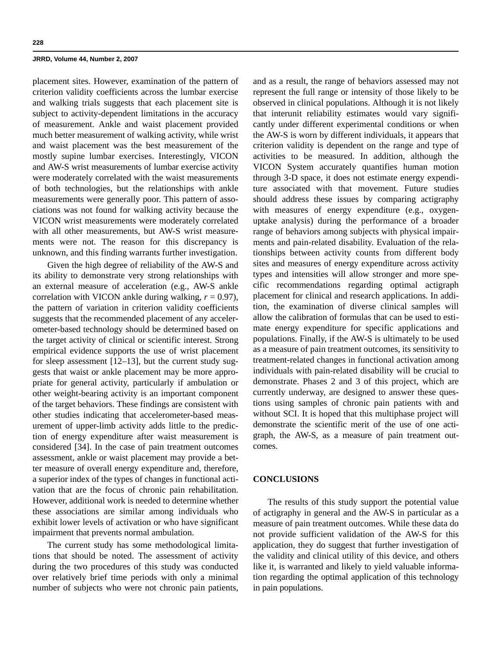placement sites. However, examination of the pattern of criterion validity coefficients across the lumbar exercise and walking trials suggests that each placement site is subject to activity-dependent limitations in the accuracy of measurement. Ankle and waist placement provided much better measurement of walking activity, while wrist and waist placement was the best measurement of the mostly supine lumbar exercises. Interestingly, VICON and AW-S wrist measurements of lumbar exercise activity were moderately correlated with the waist measurements of both technologies, but the relationships with ankle measurements were generally poor. This pattern of associations was not found for walking activity because the VICON wrist measurements were moderately correlated with all other measurements, but AW-S wrist measurements were not. The reason for this discrepancy is unknown, and this finding warrants further investigation.

Given the high degree of reliability of the AW-S and its ability to demonstrate very strong relationships with an external measure of acceleration (e.g., AW-S ankle correlation with VICON ankle during walking,  $r = 0.97$ ), the pattern of variation in criterion validity coefficients suggests that the recommended placement of any accelerometer-based technology should be determined based on the target activity of clinical or scientific interest. Strong empirical evidence supports the use of wrist placement for sleep assessment [12–13], but the current study suggests that waist or ankle placement may be more appropriate for general activity, particularly if ambulation or other weight-bearing activity is an important component of the target behaviors. These findings are consistent with other studies indicating that accelerometer-based measurement of upper-limb activity adds little to the prediction of energy expenditure after waist measurement is considered [34]. In the case of pain treatment outcomes assessment, ankle or waist placement may provide a better measure of overall energy expenditure and, therefore, a superior index of the types of changes in functional activation that are the focus of chronic pain rehabilitation. However, additional work is needed to determine whether these associations are similar among individuals who exhibit lower levels of activation or who have significant impairment that prevents normal ambulation.

The current study has some methodological limitations that should be noted. The assessment of activity during the two procedures of this study was conducted over relatively brief time periods with only a minimal number of subjects who were not chronic pain patients, and as a result, the range of behaviors assessed may not represent the full range or intensity of those likely to be observed in clinical populations. Although it is not likely that interunit reliability estimates would vary significantly under different experimental conditions or when the AW-S is worn by different individuals, it appears that criterion validity is dependent on the range and type of activities to be measured. In addition, although the VICON System accurately quantifies human motion through 3-D space, it does not estimate energy expenditure associated with that movement. Future studies should address these issues by comparing actigraphy with measures of energy expenditure (e.g., oxygenuptake analysis) during the performance of a broader range of behaviors among subjects with physical impairments and pain-related disability. Evaluation of the relationships between activity counts from different body sites and measures of energy expenditure across activity types and intensities will allow stronger and more specific recommendations regarding optimal actigraph placement for clinical and research applications. In addition, the examination of diverse clinical samples will allow the calibration of formulas that can be used to estimate energy expenditure for specific applications and populations. Finally, if the AW-S is ultimately to be used as a measure of pain treatment outcomes, its sensitivity to treatment-related changes in functional activation among individuals with pain-related disability will be crucial to demonstrate. Phases 2 and 3 of this project, which are currently underway, are designed to answer these questions using samples of chronic pain patients with and without SCI. It is hoped that this multiphase project will demonstrate the scientific merit of the use of one actigraph, the AW-S, as a measure of pain treatment outcomes.

# **CONCLUSIONS**

The results of this study support the potential value of actigraphy in general and the AW-S in particular as a measure of pain treatment outcomes. While these data do not provide sufficient validation of the AW-S for this application, they do suggest that further investigation of the validity and clinical utility of this device, and others like it, is warranted and likely to yield valuable information regarding the optimal application of this technology in pain populations.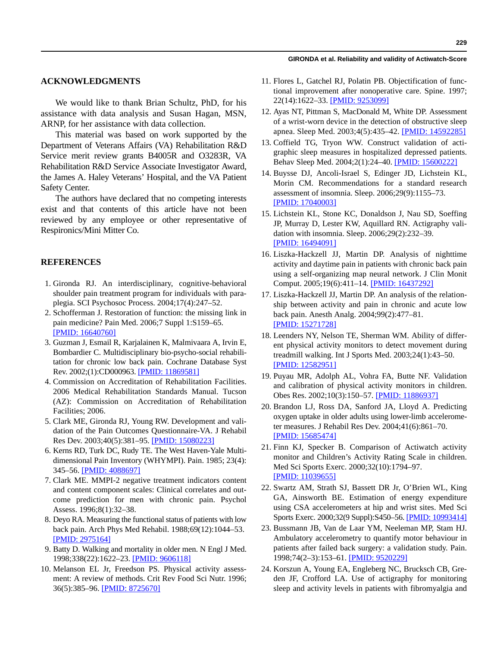#### **GIRONDA et al. Reliability and validity of Actiwatch-Score**

# **ACKNOWLEDGMENTS**

We would like to thank Brian Schultz, PhD, for his assistance with data analysis and Susan Hagan, MSN, ARNP, for her assistance with data collection.

This material was based on work supported by the Department of Veterans Affairs (VA) Rehabilitation R&D Service merit review grants B4005R and O3283R, VA Rehabilitation R&D Service Associate Investigator Award, the James A. Haley Veterans' Hospital, and the VA Patient Safety Center.

The authors have declared that no competing interests exist and that contents of this article have not been reviewed by any employee or other representative of Respironics/Mini Mitter Co.

## **REFERENCES**

- 1. Gironda RJ. An interdisciplinary, cognitive-behavioral shoulder pain treatment program for individuals with paraplegia. SCI Psychosoc Process. 2004;17(4):247–52.
- 2. Schofferman J. Restoration of function: the missing link in pain medicine? Pain Med. 2006;7 Suppl 1:S159–65. [\[PMID: 16640760\]](http://www.ncbi.nlm.nih.gov/entrez/query.fcgi?db=pubmed&cmd=Retrieve&dopt=AbstractPlus&list_uids=16640760)
- 3. Guzman J, Esmail R, Karjalainen K, Malmivaara A, Irvin E, Bombardier C. Multidisciplinary bio-psycho-social rehabilitation for chronic low back pain. Cochrane Database Syst Rev. 2002;(1):CD000963. [\[PMID: 11869581\]](http://www.ncbi.nlm.nih.gov/entrez/query.fcgi?db=pubmed&cmd=Retrieve&dopt=AbstractPlus&list_uids=11869581)
- 4. Commission on Accreditation of Rehabilitation Facilities. 2006 Medical Rehabilitation Standards Manual. Tucson (AZ): Commission on Accreditation of Rehabilitation Facilities; 2006.
- 5. Clark ME, Gironda RJ, Young RW. Development and validation of the Pain Outcomes Questionnaire-VA. J Rehabil Res Dev. 2003;40(5):381–95. [\[PMID: 15080223\]](http://www.ncbi.nlm.nih.gov/entrez/query.fcgi?db=pubmed&cmd=Retrieve&dopt=AbstractPlus&list_uids=15080223)
- 6. Kerns RD, Turk DC, Rudy TE. The West Haven-Yale Multidimensional Pain Inventory (WHYMPI). Pain. 1985; 23(4): 345–56. [\[PMID: 4088697\]](http://www.ncbi.nlm.nih.gov/entrez/query.fcgi?db=pubmed&cmd=Retrieve&dopt=AbstractPlus&list_uids=4088697)
- 7. Clark ME. MMPI-2 negative treatment indicators content and content component scales: Clinical correlates and outcome prediction for men with chronic pain. Psychol Assess. 1996;8(1):32–38.
- 8. Deyo RA. Measuring the functional status of patients with low back pain. Arch Phys Med Rehabil. 1988;69(12):1044–53. [\[PMID: 2975164\]](http://www.ncbi.nlm.nih.gov/entrez/query.fcgi?db=pubmed&cmd=Retrieve&dopt=AbstractPlus&list_uids=2975164)
- 9. Batty D. Walking and mortality in older men. N Engl J Med. 1998;338(22):1622–23. [\[PMID: 9606118\]](http://www.ncbi.nlm.nih.gov/entrez/query.fcgi?db=pubmed&cmd=Retrieve&dopt=AbstractPlus&list_uids=9606118)
- 10. Melanson EL Jr, Freedson PS. Physical activity assessment: A review of methods. Crit Rev Food Sci Nutr. 1996; 36(5):385–96. [\[PMID: 8725670\]](http://www.ncbi.nlm.nih.gov/entrez/query.fcgi?db=pubmed&cmd=Retrieve&dopt=AbstractPlus&list_uids=8725670)
- 11. Flores L, Gatchel RJ, Polatin PB. Objectification of functional improvement after nonoperative care. Spine. 1997; 22(14):1622–33. [\[PMID: 9253099\]](http://www.ncbi.nlm.nih.gov/entrez/query.fcgi?db=pubmed&cmd=Retrieve&dopt=AbstractPlus&list_uids=9253099)
- 12. Ayas NT, Pittman S, MacDonald M, White DP. Assessment of a wrist-worn device in the detection of obstructive sleep apnea. Sleep Med. 2003;4(5):435–42. [\[PMID: 14592285\]](http://www.ncbi.nlm.nih.gov/entrez/query.fcgi?db=pubmed&cmd=Retrieve&dopt=AbstractPlus&list_uids=14592285)
- 13. Coffield TG, Tryon WW. Construct validation of actigraphic sleep measures in hospitalized depressed patients. Behav Sleep Med. 2004;2(1):24–40. [\[PMID: 15600222\]](http://www.ncbi.nlm.nih.gov/entrez/query.fcgi?db=pubmed&cmd=Retrieve&dopt=AbstractPlus&list_uids=15600222)
- 14. Buysse DJ, Ancoli-Israel S, Edinger JD, Lichstein KL, Morin CM. Recommendations for a standard research assessment of insomnia. Sleep. 2006;29(9):1155–73. [\[PMID: 17040003\]](http://www.ncbi.nlm.nih.gov/entrez/query.fcgi?db=pubmed&cmd=Retrieve&dopt=AbstractPlus&list_uids=17040003)
- 15. Lichstein KL, Stone KC, Donaldson J, Nau SD, Soeffing JP, Murray D, Lester KW, Aquillard RN. Actigraphy validation with insomnia. Sleep. 2006;29(2):232–39. [\[PMID: 16494091\]](http://www.ncbi.nlm.nih.gov/entrez/query.fcgi?db=pubmed&cmd=Retrieve&dopt=AbstractPlus&list_uids=16494091)
- 16. Liszka-Hackzell JJ, Martin DP. Analysis of nighttime activity and daytime pain in patients with chronic back pain using a self-organizing map neural network. J Clin Monit Comput. 2005;19(6):411–14. [\[PMID: 16437292\]](http://www.ncbi.nlm.nih.gov/entrez/query.fcgi?db=pubmed&cmd=Retrieve&dopt=AbstractPlus&list_uids=16437292)
- 17. Liszka-Hackzell JJ, Martin DP. An analysis of the relationship between activity and pain in chronic and acute low back pain. Anesth Analg. 2004;99(2):477–81. [\[PMID: 15271728\]](http://www.ncbi.nlm.nih.gov/entrez/query.fcgi?db=pubmed&cmd=Retrieve&dopt=AbstractPlus&list_uids=15271728)
- 18. Leenders NY, Nelson TE, Sherman WM. Ability of different physical activity monitors to detect movement during treadmill walking. Int J Sports Med. 2003;24(1):43–50. [\[PMID: 12582951\]](http://www.ncbi.nlm.nih.gov/entrez/query.fcgi?db=pubmed&cmd=Retrieve&dopt=AbstractPlus&list_uids=12582951)
- 19. Puyau MR, Adolph AL, Vohra FA, Butte NF. Validation and calibration of physical activity monitors in children. Obes Res. 2002;10(3):150–57. [\[PMID: 11886937\]](http://www.ncbi.nlm.nih.gov/entrez/query.fcgi?db=pubmed&cmd=Retrieve&dopt=AbstractPlus&list_uids=11886937)
- 20. Brandon LJ, Ross DA, Sanford JA, Lloyd A. Predicting oxygen uptake in older adults using lower-limb accelerometer measures. J Rehabil Res Dev. 2004;41(6):861–70. [\[PMID: 15685474\]](http://www.ncbi.nlm.nih.gov/entrez/query.fcgi?db=pubmed&cmd=Retrieve&dopt=AbstractPlus&list_uids=15685474)
- 21. Finn KJ, Specker B. Comparison of Actiwatch activity monitor and Children's Activity Rating Scale in children. Med Sci Sports Exerc. 2000;32(10):1794–97. [\[PMID: 11039655\]](http://www.ncbi.nlm.nih.gov/entrez/query.fcgi?db=pubmed&cmd=Retrieve&dopt=AbstractPlus&list_uids=11039655)
- 22. Swartz AM, Strath SJ, Bassett DR Jr, O'Brien WL, King GA, Ainsworth BE. Estimation of energy expenditure using CSA accelerometers at hip and wrist sites. Med Sci Sports Exerc. 2000;32(9 Suppl):S450–56. [\[PMID: 10993414\]](http://www.ncbi.nlm.nih.gov/entrez/query.fcgi?db=pubmed&cmd=Retrieve&dopt=AbstractPlus&list_uids=10993414)
- 23. Bussmann JB, Van de Laar YM, Neeleman MP, Stam HJ. Ambulatory accelerometry to quantify motor behaviour in patients after failed back surgery: a validation study. Pain. 1998;74(2–3):153–61. [\[PMID: 9520229\]](http://www.ncbi.nlm.nih.gov/entrez/query.fcgi?db=pubmed&cmd=Retrieve&dopt=AbstractPlus&list_uids=9520229)
- 24. Korszun A, Young EA, Engleberg NC, Brucksch CB, Greden JF, Crofford LA. Use of actigraphy for monitoring sleep and activity levels in patients with fibromyalgia and